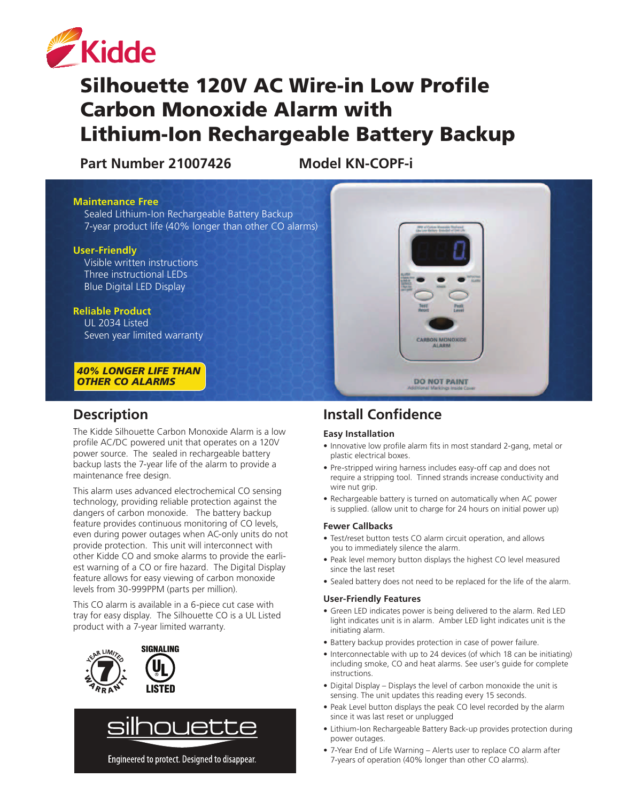

# Silhouette 120V AC Wire-in Low Profile Carbon Monoxide Alarm with Lithium-Ion Rechargeable Battery Backup

**Part Number 21007426 Model KN-COPF-i**

#### **Maintenance Free**

Sealed Lithium-Ion Rechargeable Battery Backup 7-year product life (40% longer than other CO alarms)

#### **User-Friendly**

 Visible written instructions Three instructional LEDs Blue Digital LED Display

#### **Reliable Product**

 UL 2034 Listed Seven year limited warranty

*40% LONGER LIFE THAN* **OTHER CO ALARMS** 

### **Description**

The Kidde Silhouette Carbon Monoxide Alarm is a low profile AC/DC powered unit that operates on a 120V power source. The sealed in rechargeable battery backup lasts the 7-year life of the alarm to provide a maintenance free design.

This alarm uses advanced electrochemical CO sensing technology, providing reliable protection against the dangers of carbon monoxide. The battery backup feature provides continuous monitoring of CO levels, even during power outages when AC-only units do not provide protection. This unit will interconnect with other Kidde CO and smoke alarms to provide the earliest warning of a CO or fire hazard. The Digital Display feature allows for easy viewing of carbon monoxide levels from 30-999PPM (parts per million).

This CO alarm is available in a 6-piece cut case with tray for easy display. The Silhouette CO is a UL Listed product with a 7-year limited warranty.





Engineered to protect. Designed to disappear.

# **Install Confidence**

#### **Easy Installation**

• Innovative low profile alarm fits in most standard 2-gang, metal or plastic electrical boxes.

**ALARM** 

**DO NOT PAINT** 

- Pre-stripped wiring harness includes easy-off cap and does not require a stripping tool. Tinned strands increase conductivity and wire nut grip.
- Rechargeable battery is turned on automatically when AC power is supplied. (allow unit to charge for 24 hours on initial power up)

#### **Fewer Callbacks**

- Test/reset button tests CO alarm circuit operation, and allows you to immediately silence the alarm.
- . Peak level memory button displays the highest CO level measured since the last reset
- Sealed battery does not need to be replaced for the life of the alarm.

#### **User-Friendly Features**

- Green LED indicates power is being delivered to the alarm. Red LED light indicates unit is in alarm. Amber LED light indicates unit is the initiating alarm.
- Battery backup provides protection in case of power failure.
- Interconnectable with up to 24 devices (of which 18 can be initiating) including smoke, CO and heat alarms. See user's guide for complete instructions.
- Digital Display Displays the level of carbon monoxide the unit is sensing. The unit updates this reading every 15 seconds.
- Peak Level button displays the peak CO level recorded by the alarm since it was last reset or unplugged
- Lithium-Ion Rechargeable Battery Back-up provides protection during power outages.
- 7-Year End of Life Warning Alerts user to replace CO alarm after 7-years of operation (40% longer than other CO alarms).